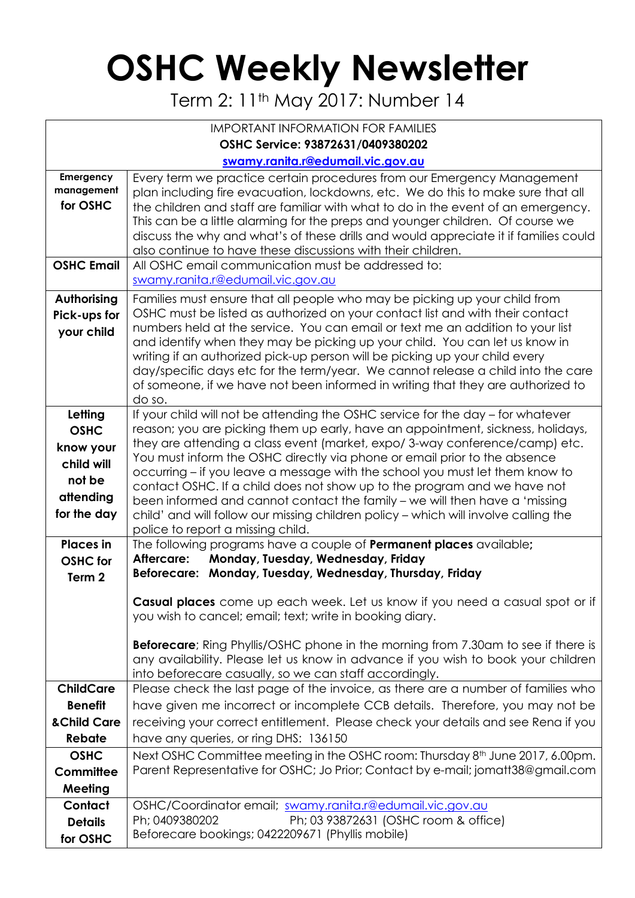## **OSHC Weekly Newsletter**

Term 2: 11th May 2017: Number 14

| <b>IMPORTANT INFORMATION FOR FAMILIES</b>                                               |                                                                                                                                                                                                                                                                                                                                                                                                                                                                                                                                                                                                                                                                                                     |  |  |  |  |  |  |  |
|-----------------------------------------------------------------------------------------|-----------------------------------------------------------------------------------------------------------------------------------------------------------------------------------------------------------------------------------------------------------------------------------------------------------------------------------------------------------------------------------------------------------------------------------------------------------------------------------------------------------------------------------------------------------------------------------------------------------------------------------------------------------------------------------------------------|--|--|--|--|--|--|--|
| OSHC Service: 93872631/0409380202                                                       |                                                                                                                                                                                                                                                                                                                                                                                                                                                                                                                                                                                                                                                                                                     |  |  |  |  |  |  |  |
| swamy.ranita.r@edumail.vic.gov.au                                                       |                                                                                                                                                                                                                                                                                                                                                                                                                                                                                                                                                                                                                                                                                                     |  |  |  |  |  |  |  |
| Emergency<br>management<br>for OSHC                                                     | Every term we practice certain procedures from our Emergency Management<br>plan including fire evacuation, lockdowns, etc. We do this to make sure that all<br>the children and staff are familiar with what to do in the event of an emergency.<br>This can be a little alarming for the preps and younger children. Of course we<br>discuss the why and what's of these drills and would appreciate it if families could<br>also continue to have these discussions with their children.                                                                                                                                                                                                          |  |  |  |  |  |  |  |
| <b>OSHC Email</b>                                                                       | All OSHC email communication must be addressed to:<br>swamy.ranita.r@edumail.vic.gov.au                                                                                                                                                                                                                                                                                                                                                                                                                                                                                                                                                                                                             |  |  |  |  |  |  |  |
| Authorising<br>Pick-ups for<br>your child                                               | Families must ensure that all people who may be picking up your child from<br>OSHC must be listed as authorized on your contact list and with their contact<br>numbers held at the service. You can email or text me an addition to your list<br>and identify when they may be picking up your child. You can let us know in<br>writing if an authorized pick-up person will be picking up your child every<br>day/specific days etc for the term/year. We cannot release a child into the care<br>of someone, if we have not been informed in writing that they are authorized to<br>do so.                                                                                                        |  |  |  |  |  |  |  |
| Letting<br><b>OSHC</b><br>know your<br>child will<br>not be<br>attending<br>for the day | If your child will not be attending the OSHC service for the day – for whatever<br>reason; you are picking them up early, have an appointment, sickness, holidays,<br>they are attending a class event (market, expo/3-way conference/camp) etc.<br>You must inform the OSHC directly via phone or email prior to the absence<br>occurring – if you leave a message with the school you must let them know to<br>contact OSHC. If a child does not show up to the program and we have not<br>been informed and cannot contact the family - we will then have a 'missing<br>child' and will follow our missing children policy - which will involve calling the<br>police to report a missing child. |  |  |  |  |  |  |  |
| <b>Places</b> in<br><b>OSHC</b> for<br>Term <sub>2</sub>                                | The following programs have a couple of <b>Permanent places</b> available;<br>Monday, Tuesday, Wednesday, Friday<br>Aftercare:<br>Beforecare: Monday, Tuesday, Wednesday, Thursday, Friday                                                                                                                                                                                                                                                                                                                                                                                                                                                                                                          |  |  |  |  |  |  |  |
|                                                                                         | Casual places come up each week. Let us know if you need a casual spot or if<br>you wish to cancel; email; text; write in booking diary.<br><b>Beforecare</b> ; Ring Phyllis/OSHC phone in the morning from 7.30am to see if there is<br>any availability. Please let us know in advance if you wish to book your children<br>into beforecare casually, so we can staff accordingly.                                                                                                                                                                                                                                                                                                                |  |  |  |  |  |  |  |
| <b>ChildCare</b><br><b>Benefit</b><br>& Child Care                                      | Please check the last page of the invoice, as there are a number of families who<br>have given me incorrect or incomplete CCB details. Therefore, you may not be<br>receiving your correct entitlement. Please check your details and see Rena if you                                                                                                                                                                                                                                                                                                                                                                                                                                               |  |  |  |  |  |  |  |
| Rebate                                                                                  | have any queries, or ring DHS: 136150                                                                                                                                                                                                                                                                                                                                                                                                                                                                                                                                                                                                                                                               |  |  |  |  |  |  |  |
| <b>OSHC</b><br>Committee<br>Meeting                                                     | Next OSHC Committee meeting in the OSHC room: Thursday 8 <sup>th</sup> June 2017, 6.00pm.<br>Parent Representative for OSHC; Jo Prior; Contact by e-mail; jomatt38@gmail.com                                                                                                                                                                                                                                                                                                                                                                                                                                                                                                                        |  |  |  |  |  |  |  |
| Contact<br><b>Details</b><br>for OSHC                                                   | OSHC/Coordinator email; swamy.ranita.r@edumail.vic.gov.au<br>Ph; 0409380202<br>Ph; 03 93872631 (OSHC room & office)<br>Beforecare bookings; 0422209671 (Phyllis mobile)                                                                                                                                                                                                                                                                                                                                                                                                                                                                                                                             |  |  |  |  |  |  |  |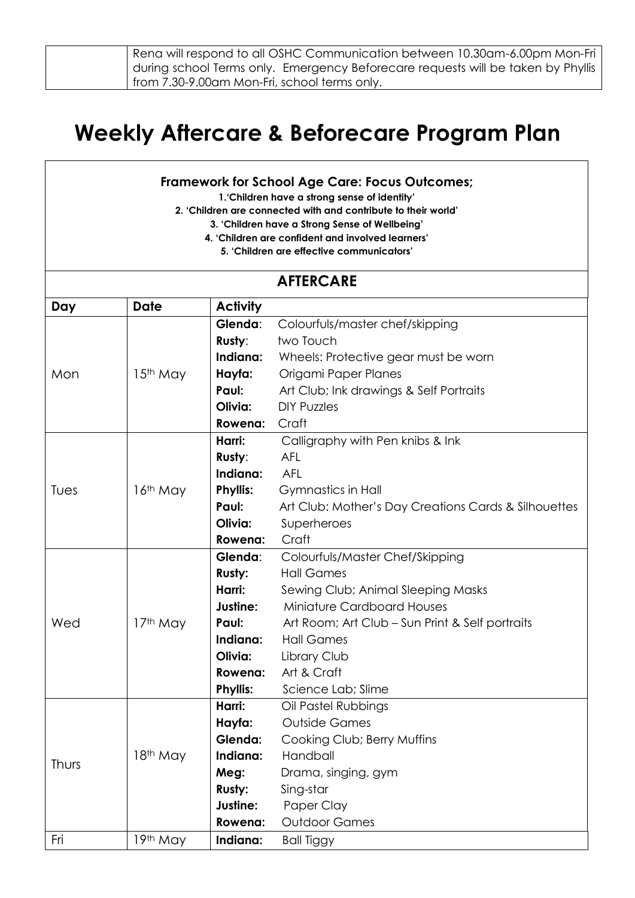| , Rena will respond to all OSHC Communication between 10.30am-6.00pm Mon-Fri      |
|-----------------------------------------------------------------------------------|
| during school Terms only.  Emergency Beforecare requests will be taken by Phyllis |
| from 7.30-9.00am Mon-Fri, school terms only.                                      |

## **Weekly Aftercare & Beforecare Program Plan**

## **Framework for School Age Care: Focus Outcomes;**

**1.'Children have a strong sense of identity'**

**2. 'Children are connected with and contribute to their world'**

**3. 'Children have a Strong Sense of Wellbeing'**

**4. 'Children are confident and involved learners'**

**5. 'Children are effective communicators'**

## **AFTERCARE**

| Day   | <b>Date</b>          | <b>Activity</b> |                                                      |
|-------|----------------------|-----------------|------------------------------------------------------|
|       |                      | Glenda:         | Colourfuls/master chef/skipping                      |
|       |                      | Rusty:          | two Touch                                            |
|       |                      | Indiana:        | Wheels: Protective gear must be worn                 |
| Mon   | 15 <sup>th</sup> May | Hayfa:          | Origami Paper Planes                                 |
|       |                      | Paul:           | Art Club; Ink drawings & Self Portraits              |
|       |                      | Olivia:         | <b>DIY Puzzles</b>                                   |
|       |                      | Rowena:         | Craft                                                |
|       |                      | Harri:          | Calligraphy with Pen knibs & Ink                     |
|       |                      | Rusty:          | <b>AFL</b>                                           |
|       |                      | Indiana:        | <b>AFL</b>                                           |
| Tues  | 16 <sup>th</sup> May | <b>Phyllis:</b> | Gymnastics in Hall                                   |
|       |                      | Paul:           | Art Club: Mother's Day Creations Cards & Silhouettes |
|       |                      | Olivia:         | Superheroes                                          |
|       |                      | Rowena:         | Craft                                                |
|       |                      | Glenda:         | Colourfuls/Master Chef/Skipping                      |
|       |                      | <b>Rusty:</b>   | <b>Hall Games</b>                                    |
|       |                      | Harri:          | Sewing Club; Animal Sleeping Masks                   |
|       |                      | Justine:        | <b>Miniature Cardboard Houses</b>                    |
| Wed   | 17th May             | Paul:           | Art Room; Art Club - Sun Print & Self portraits      |
|       |                      | Indiana:        | <b>Hall Games</b>                                    |
|       |                      | Olivia:         | Library Club                                         |
|       |                      | Rowena:         | Art & Craft                                          |
|       |                      | <b>Phyllis:</b> | Science Lab; Slime                                   |
|       |                      | Harri:          | Oil Pastel Rubbings                                  |
|       |                      | Hayfa:          | <b>Outside Games</b>                                 |
|       |                      | Glenda:         | Cooking Club; Berry Muffins                          |
|       | 18th May             | Indiana:        | Handball                                             |
| Thurs |                      | Meg:            | Drama, singing, gym                                  |
|       |                      | Rusty:          | Sing-star                                            |
|       |                      | Justine:        | Paper Clay                                           |
|       |                      | Rowena:         | <b>Outdoor Games</b>                                 |
| Fri   | 19th May             | Indiana:        | <b>Ball Tiggy</b>                                    |